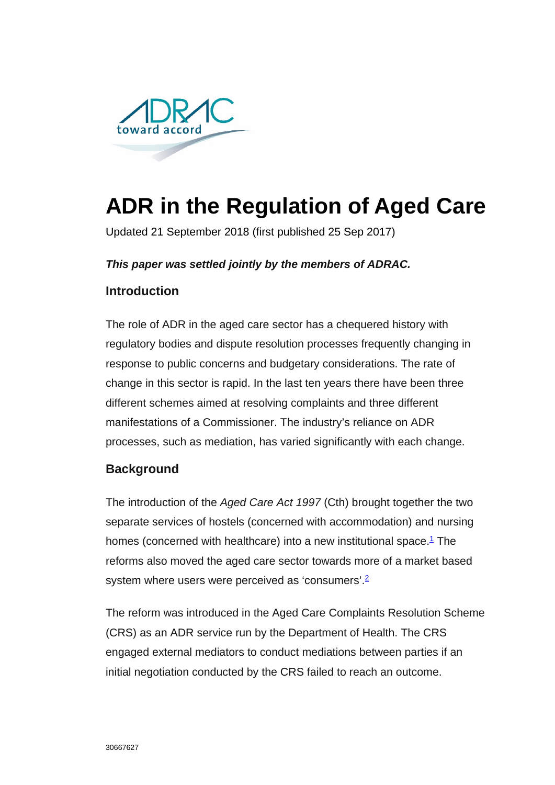

# **ADR in the Regulation of Aged Care**

Updated 21 September 2018 (first published 25 Sep 2017)

### *This paper was settled jointly by the members of ADRAC.*

## **Introduction**

The role of ADR in the aged care sector has a chequered history with regulatory bodies and dispute resolution processes frequently changing in response to public concerns and budgetary considerations. The rate of change in this sector is rapid. In the last ten years there have been three different schemes aimed at resolving complaints and three different manifestations of a Commissioner. The industry's reliance on ADR processes, such as mediation, has varied significantly with each change.

## **Background**

The introduction of the *Aged Care Act 1997* (Cth) brought together the two separate services of hostels (concerned with accommodation) and nursing homes (concerned with healthcare) into a new institutional space. $1$  The reforms also moved the aged care sector towards more of a market based system where users were perceived as 'consumers'.<sup>2</sup>

The reform was introduced in the Aged Care Complaints Resolution Scheme (CRS) as an ADR service run by the Department of Health. The CRS engaged external mediators to conduct mediations between parties if an initial negotiation conducted by the CRS failed to reach an outcome.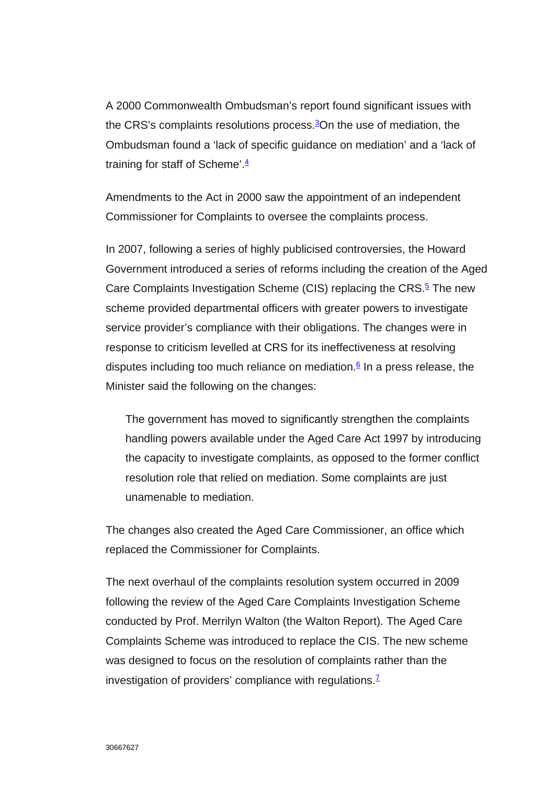A 2000 Commonwealth Ombudsman's report found significant issues with the CRS's complaints resolutions process. $3$ On the use of mediation, the Ombudsman found a 'lack of specific guidance on mediation' and a 'lack of training for staff of Scheme'. $\frac{4}{3}$ 

Amendments to the Act in 2000 saw the appointment of an independent Commissioner for Complaints to oversee the complaints process.

In 2007, following a series of highly publicised controversies, the Howard Government introduced a series of reforms including the creation of the Aged Care Complaints Investigation Scheme (CIS) replacing the CRS.<sup>5</sup> The new scheme provided departmental officers with greater powers to investigate service provider's compliance with their obligations. The changes were in response to criticism levelled at CRS for its ineffectiveness at resolving disputes including too much reliance on mediation. $6 \text{ In a press release, the}$ Minister said the following on the changes:

The government has moved to significantly strengthen the complaints handling powers available under the Aged Care Act 1997 by introducing the capacity to investigate complaints, as opposed to the former conflict resolution role that relied on mediation. Some complaints are just unamenable to mediation.

The changes also created the Aged Care Commissioner, an office which replaced the Commissioner for Complaints.

The next overhaul of the complaints resolution system occurred in 2009 following the review of the Aged Care Complaints Investigation Scheme conducted by Prof. Merrilyn Walton (the Walton Report). The Aged Care Complaints Scheme was introduced to replace the CIS. The new scheme was designed to focus on the resolution of complaints rather than the investigation of providers' compliance with regulations. $<sup>Z</sup>$ </sup>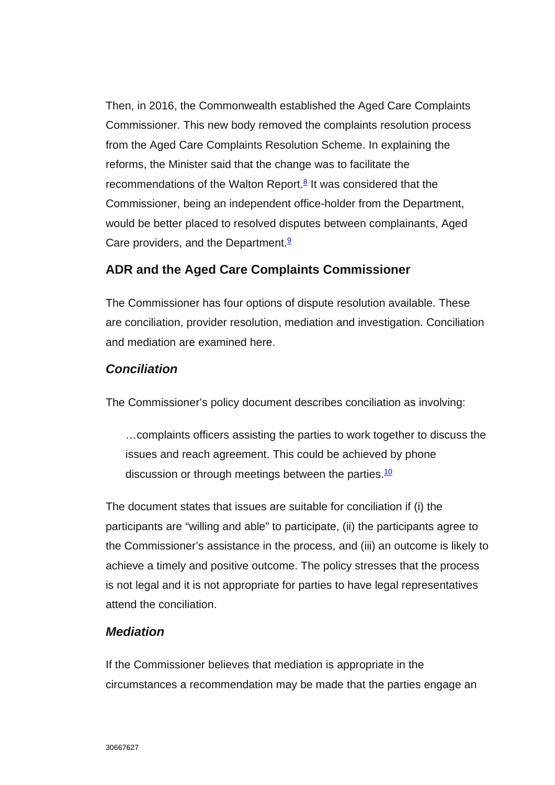Then, in 2016, the Commonwealth established the Aged Care Complaints Commissioner. This new body removed the complaints resolution process from the Aged Care Complaints Resolution Scheme. In explaining the reforms, the Minister said that the change was to facilitate the recommendations of the Walton Report.<sup>8</sup> It was considered that the Commissioner, being an independent office-holder from the Department, would be better placed to resolved disputes between complainants, Aged Care providers, and the Department.<sup>9</sup>

## **ADR and the Aged Care Complaints Commissioner**

The Commissioner has four options of dispute resolution available. These are conciliation, provider resolution, mediation and investigation. Conciliation and mediation are examined here.

#### *Conciliation*

The Commissioner's policy document describes conciliation as involving:

…complaints officers assisting the parties to work together to discuss the issues and reach agreement. This could be achieved by phone discussion or through meetings between the parties.<sup>10</sup>

The document states that issues are suitable for conciliation if (i) the participants are "willing and able" to participate, (ii) the participants agree to the Commissioner's assistance in the process, and (iii) an outcome is likely to achieve a timely and positive outcome. The policy stresses that the process is not legal and it is not appropriate for parties to have legal representatives attend the conciliation.

#### *Mediation*

If the Commissioner believes that mediation is appropriate in the circumstances a recommendation may be made that the parties engage an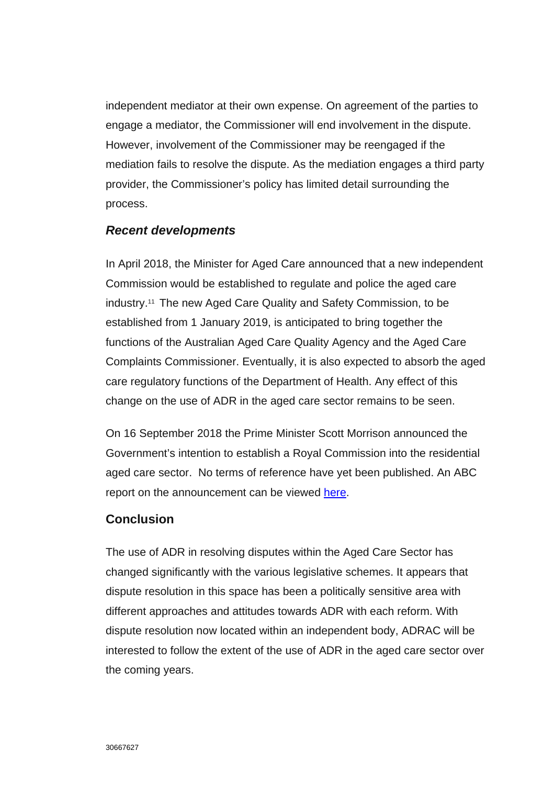independent mediator at their own expense. On agreement of the parties to engage a mediator, the Commissioner will end involvement in the dispute. However, involvement of the Commissioner may be reengaged if the mediation fails to resolve the dispute. As the mediation engages a third party provider, the Commissioner's policy has limited detail surrounding the process.

#### *Recent developments*

In April 2018, the Minister for Aged Care announced that a new independent Commission would be established to regulate and police the aged care industry.11 The new Aged Care Quality and Safety Commission, to be established from 1 January 2019, is anticipated to bring together the functions of the Australian Aged Care Quality Agency and the Aged Care Complaints Commissioner. Eventually, it is also expected to absorb the aged care regulatory functions of the Department of Health. Any effect of this change on the use of ADR in the aged care sector remains to be seen.

On 16 September 2018 the Prime Minister Scott Morrison announced the Government's intention to establish a Royal Commission into the residential aged care sector. No terms of reference have yet been published. An ABC report on the announcement can be viewed [here.](http://www.abc.net.au/news/2018-09-16/scott-morrison-announces-royal-commission-into-aged-care-sector/10252850)

#### **Conclusion**

The use of ADR in resolving disputes within the Aged Care Sector has changed significantly with the various legislative schemes. It appears that dispute resolution in this space has been a politically sensitive area with different approaches and attitudes towards ADR with each reform. With dispute resolution now located within an independent body, ADRAC will be interested to follow the extent of the use of ADR in the aged care sector over the coming years.